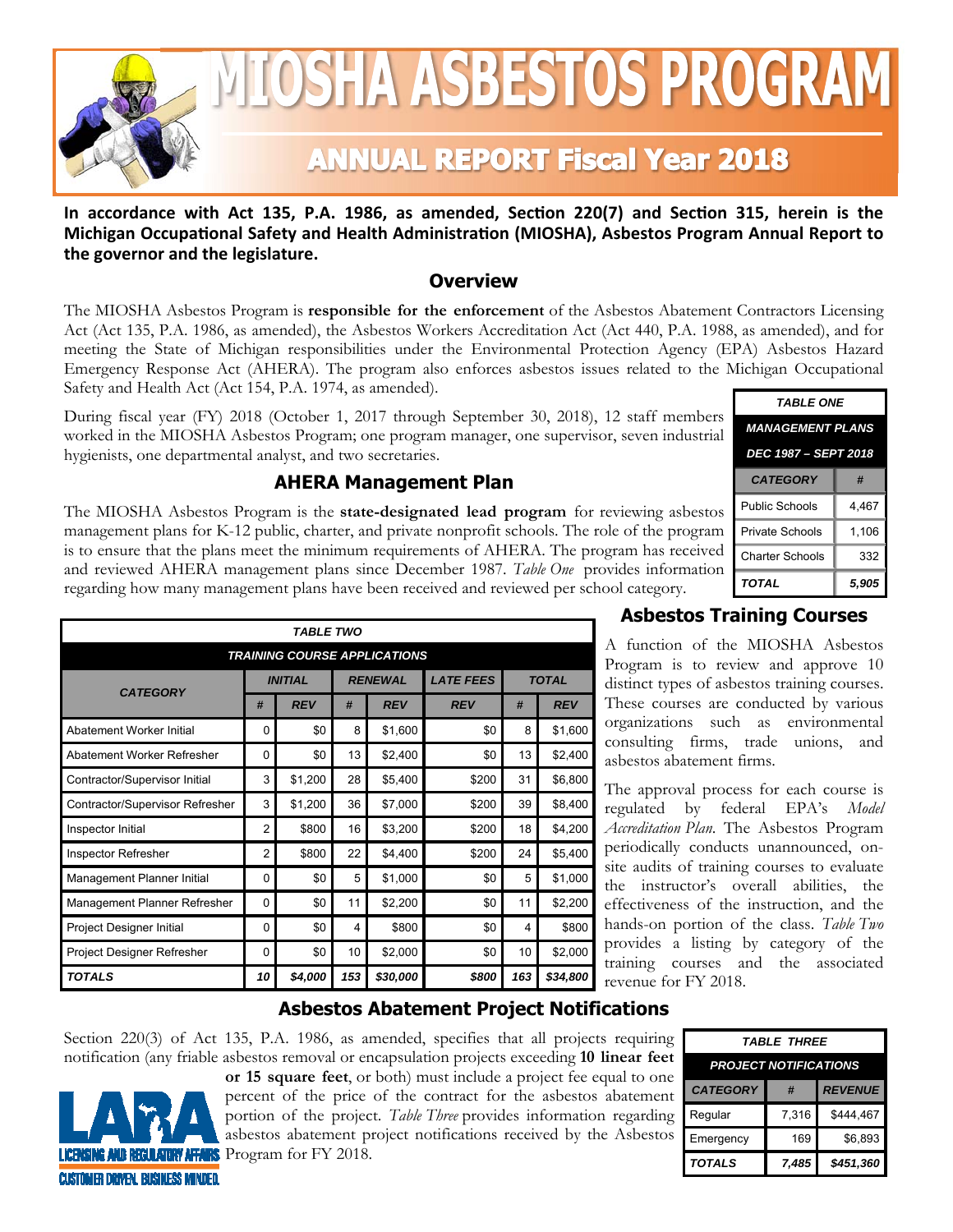

# <u>IOSHA ASBESTOS PROGRAM</u>

# **ANNUAL REPORT Fiscal Year 2018**

In accordance with Act 135, P.A. 1986, as amended, Section 220(7) and Section 315, herein is the Michigan Occupational Safety and Health Administration (MIOSHA), Asbestos Program Annual Report to **the governor and the legislature.** 

#### **Overview**

The MIOSHA Asbestos Program is **responsible for the enforcement** of the Asbestos Abatement Contractors Licensing Act (Act 135, P.A. 1986, as amended), the Asbestos Workers Accreditation Act (Act 440, P.A. 1988, as amended), and for meeting the State of Michigan responsibilities under the Environmental Protection Agency (EPA) Asbestos Hazard Emergency Response Act (AHERA). The program also enforces asbestos issues related to the Michigan Occupational Safety and Health Act (Act 154, P.A. 1974, as amended).

During fiscal year (FY) 2018 (October 1, 2017 through September 30, 2018), 12 staff members worked in the MIOSHA Asbestos Program; one program manager, one supervisor, seven industrial hygienists, one departmental analyst, and two secretaries.

## **AHERA Management Plan**

The MIOSHA Asbestos Program is the **state-designated lead program** for reviewing asbestos management plans for K-12 public, charter, and private nonprofit schools. The role of the program is to ensure that the plans meet the minimum requirements of AHERA. The program has received and reviewed AHERA management plans since December 1987. *Table One* provides information regarding how many management plans have been received and reviewed per school category.

| <b>TABLE ONE</b>        |       |  |  |
|-------------------------|-------|--|--|
| <b>MANAGEMENT PLANS</b> |       |  |  |
| DEC 1987 - SEPT 2018    |       |  |  |
| <b>CATEGORY</b>         | #     |  |  |
| Public Schools          | 4.467 |  |  |
| Private Schools         | 1.106 |  |  |
| <b>Charter Schools</b>  | 332   |  |  |
| <b>TOTAL</b>            | 5,905 |  |  |

| <b>TABLE TWO</b>                    |                                  |            |                  |            |              |     |            |
|-------------------------------------|----------------------------------|------------|------------------|------------|--------------|-----|------------|
| <b>TRAINING COURSE APPLICATIONS</b> |                                  |            |                  |            |              |     |            |
| <b>CATEGORY</b>                     | <b>INITIAL</b><br><b>RENEWAL</b> |            | <b>LATE FEES</b> |            | <b>TOTAL</b> |     |            |
|                                     | #                                | <b>REV</b> | #                | <b>REV</b> | <b>REV</b>   | #   | <b>REV</b> |
| Abatement Worker Initial            | 0                                | \$0        | 8                | \$1,600    | \$0          | 8   | \$1,600    |
| Abatement Worker Refresher          | $\Omega$                         | \$0        | 13               | \$2,400    | \$0          | 13  | \$2,400    |
| Contractor/Supervisor Initial       | 3                                | \$1,200    | 28               | \$5,400    | \$200        | 31  | \$6,800    |
| Contractor/Supervisor Refresher     | 3                                | \$1,200    | 36               | \$7,000    | \$200        | 39  | \$8,400    |
| Inspector Initial                   | $\overline{2}$                   | \$800      | 16               | \$3,200    | \$200        | 18  | \$4,200    |
| <b>Inspector Refresher</b>          | $\overline{2}$                   | \$800      | 22               | \$4,400    | \$200        | 24  | \$5,400    |
| Management Planner Initial          | $\Omega$                         | \$0        | 5                | \$1,000    | \$0          | 5   | \$1,000    |
| Management Planner Refresher        | $\Omega$                         | \$0        | 11               | \$2,200    | \$0          | 11  | \$2,200    |
| Project Designer Initial            | 0                                | \$0        | 4                | \$800      | \$0          | 4   | \$800      |
| Project Designer Refresher          | $\Omega$                         | \$0        | 10               | \$2,000    | \$0          | 10  | \$2,000    |
| <b>TOTALS</b>                       | 10                               | \$4,000    | 153              | \$30,000   | \$800        | 163 | \$34,800   |

### **Asbestos Training Courses**

A function of the MIOSHA Asbestos Program is to review and approve 10 distinct types of asbestos training courses. These courses are conducted by various organizations such as environmental consulting firms, trade unions, and asbestos abatement firms.

The approval process for each course is regulated by federal EPA's *Model Accreditation Plan*. The Asbestos Program periodically conducts unannounced, onsite audits of training courses to evaluate the instructor's overall abilities, the effectiveness of the instruction, and the hands-on portion of the class. *Table Two* provides a listing by category of the training courses and the associated revenue for FY 2018.

#### **Asbestos Abatement Project Notifications**

Section 220(3) of Act 135, P.A. 1986, as amended, specifies that all projects requiring notification (any friable asbestos removal or encapsulation projects exceeding **10 linear feet** 



**or 15 square feet**, or both) must include a project fee equal to one percent of the price of the contract for the asbestos abatement portion of the project. *Table Three* provides information regarding asbestos abatement project notifications received by the Asbestos **Program for FY 2018.** 

| <i><b>TABLE THREE</b></i>    |       |                |  |  |
|------------------------------|-------|----------------|--|--|
| <b>PROJECT NOTIFICATIONS</b> |       |                |  |  |
| <b>CATEGORY</b>              | #     | <b>REVENUE</b> |  |  |
| Regular                      | 7.316 | \$444,467      |  |  |
| Emergency                    | 169   | \$6,893        |  |  |
| <b>TOTALS</b>                | 7.485 | \$451,360      |  |  |